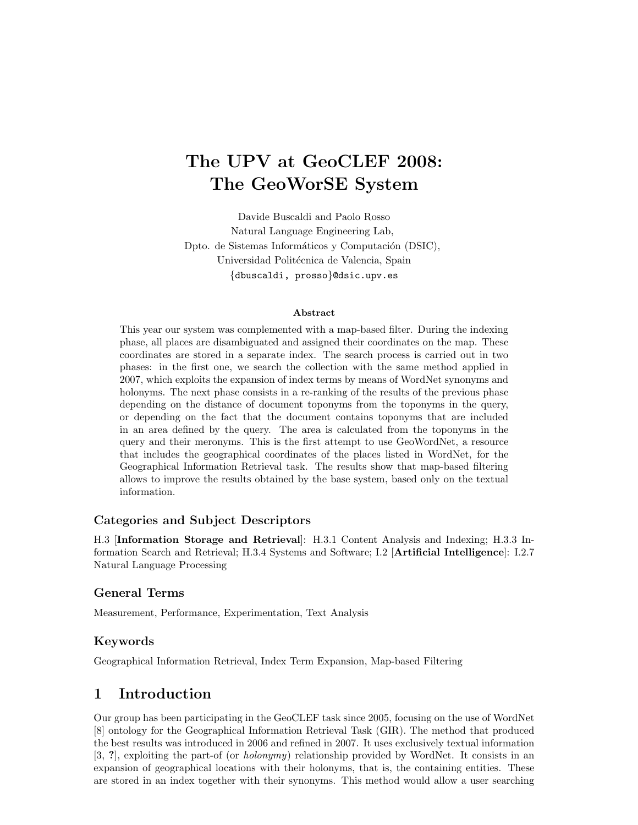# The UPV at GeoCLEF 2008: The GeoWorSE System

Davide Buscaldi and Paolo Rosso Natural Language Engineering Lab, Dpto. de Sistemas Informáticos y Computación (DSIC), Universidad Politécnica de Valencia, Spain {dbuscaldi, prosso}@dsic.upv.es

#### Abstract

This year our system was complemented with a map-based filter. During the indexing phase, all places are disambiguated and assigned their coordinates on the map. These coordinates are stored in a separate index. The search process is carried out in two phases: in the first one, we search the collection with the same method applied in 2007, which exploits the expansion of index terms by means of WordNet synonyms and holonyms. The next phase consists in a re-ranking of the results of the previous phase depending on the distance of document toponyms from the toponyms in the query, or depending on the fact that the document contains toponyms that are included in an area defined by the query. The area is calculated from the toponyms in the query and their meronyms. This is the first attempt to use GeoWordNet, a resource that includes the geographical coordinates of the places listed in WordNet, for the Geographical Information Retrieval task. The results show that map-based filtering allows to improve the results obtained by the base system, based only on the textual information.

#### Categories and Subject Descriptors

H.3 [Information Storage and Retrieval]: H.3.1 Content Analysis and Indexing; H.3.3 Information Search and Retrieval; H.3.4 Systems and Software; I.2 [Artificial Intelligence]: I.2.7 Natural Language Processing

#### General Terms

Measurement, Performance, Experimentation, Text Analysis

#### Keywords

Geographical Information Retrieval, Index Term Expansion, Map-based Filtering

## 1 Introduction

Our group has been participating in the GeoCLEF task since 2005, focusing on the use of WordNet [8] ontology for the Geographical Information Retrieval Task (GIR). The method that produced the best results was introduced in 2006 and refined in 2007. It uses exclusively textual information [3, ?], exploiting the part-of (or holonymy) relationship provided by WordNet. It consists in an expansion of geographical locations with their holonyms, that is, the containing entities. These are stored in an index together with their synonyms. This method would allow a user searching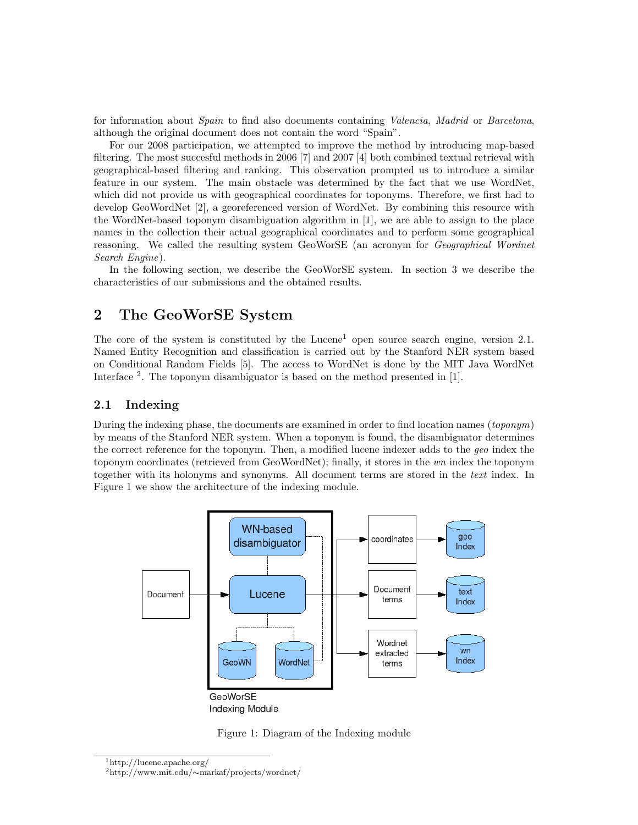for information about *Spain* to find also documents containing *Valencia*, *Madrid* or *Barcelona*, although the original document does not contain the word "Spain".

For our 2008 participation, we attempted to improve the method by introducing map-based filtering. The most succesful methods in 2006 [7] and 2007 [4] both combined textual retrieval with geographical-based filtering and ranking. This observation prompted us to introduce a similar feature in our system. The main obstacle was determined by the fact that we use WordNet, which did not provide us with geographical coordinates for toponyms. Therefore, we first had to develop GeoWordNet [2], a georeferenced version of WordNet. By combining this resource with the WordNet-based toponym disambiguation algorithm in [1], we are able to assign to the place names in the collection their actual geographical coordinates and to perform some geographical reasoning. We called the resulting system GeoWorSE (an acronym for Geographical Wordnet Search Engine).

In the following section, we describe the GeoWorSE system. In section 3 we describe the characteristics of our submissions and the obtained results.

## 2 The GeoWorSE System

The core of the system is constituted by the Lucene<sup>1</sup> open source search engine, version  $2.1$ . Named Entity Recognition and classification is carried out by the Stanford NER system based on Conditional Random Fields [5]. The access to WordNet is done by the MIT Java WordNet Interface <sup>2</sup>. The toponym disambiguator is based on the method presented in [1].

### 2.1 Indexing

During the indexing phase, the documents are examined in order to find location names (*toponym*) by means of the Stanford NER system. When a toponym is found, the disambiguator determines the correct reference for the toponym. Then, a modified lucene indexer adds to the geo index the toponym coordinates (retrieved from GeoWordNet); finally, it stores in the wn index the toponym together with its holonyms and synonyms. All document terms are stored in the text index. In Figure 1 we show the architecture of the indexing module.



Figure 1: Diagram of the Indexing module

<sup>1</sup>http://lucene.apache.org/ <sup>2</sup>http://www.mit.edu/∼markaf/projects/wordnet/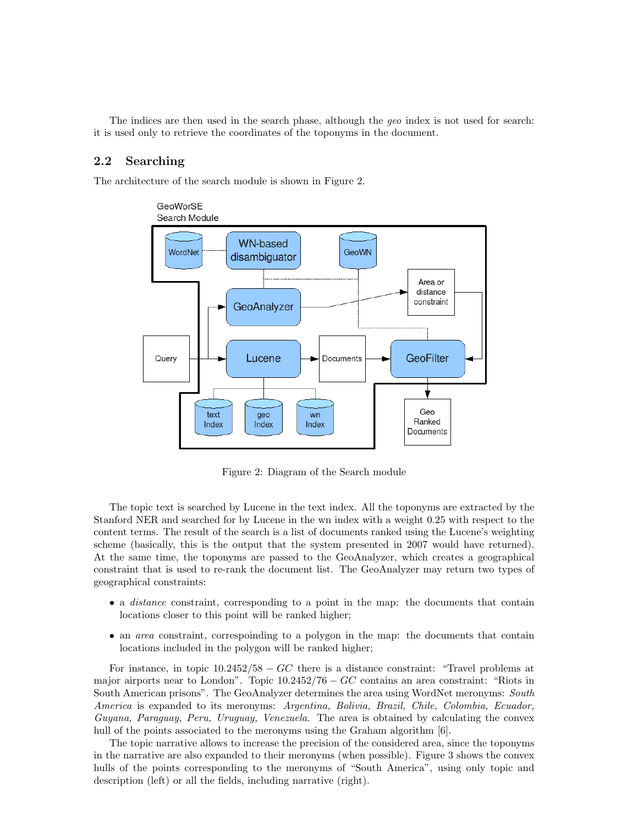The indices are then used in the search phase, although the geo index is not used for search: it is used only to retrieve the coordinates of the toponyms in the document.

#### 2.2 Searching

The architecture of the search module is shown in Figure 2.



Figure 2: Diagram of the Search module

The topic text is searched by Lucene in the text index. All the toponyms are extracted by the Stanford NER and searched for by Lucene in the wn index with a weight 0.25 with respect to the content terms. The result of the search is a list of documents ranked using the Lucene's weighting scheme (basically, this is the output that the system presented in 2007 would have returned). At the same time, the toponyms are passed to the GeoAnalyzer, which creates a geographical constraint that is used to re-rank the document list. The GeoAnalyzer may return two types of geographical constraints:

- a *distance* constraint, corresponding to a point in the map: the documents that contain locations closer to this point will be ranked higher;
- an *area* constraint, correspoinding to a polygon in the map: the documents that contain locations included in the polygon will be ranked higher;

For instance, in topic  $10.2452/58 - GC$  there is a distance constraint: "Travel problems at major airports near to London". Topic  $10.2452/76 - GC$  contains an area constraint: "Riots in South American prisons". The GeoAnalyzer determines the area using WordNet meronyms: South America is expanded to its meronyms: Argentina, Bolivia, Brazil, Chile, Colombia, Ecuador, Guyana, Paraguay, Peru, Uruguay, Venezuela. The area is obtained by calculating the convex hull of the points associated to the meronyms using the Graham algorithm [6].

The topic narrative allows to increase the precision of the considered area, since the toponyms in the narrative are also expanded to their meronyms (when possible). Figure 3 shows the convex hulls of the points corresponding to the meronyms of "South America", using only topic and description (left) or all the fields, including narrative (right).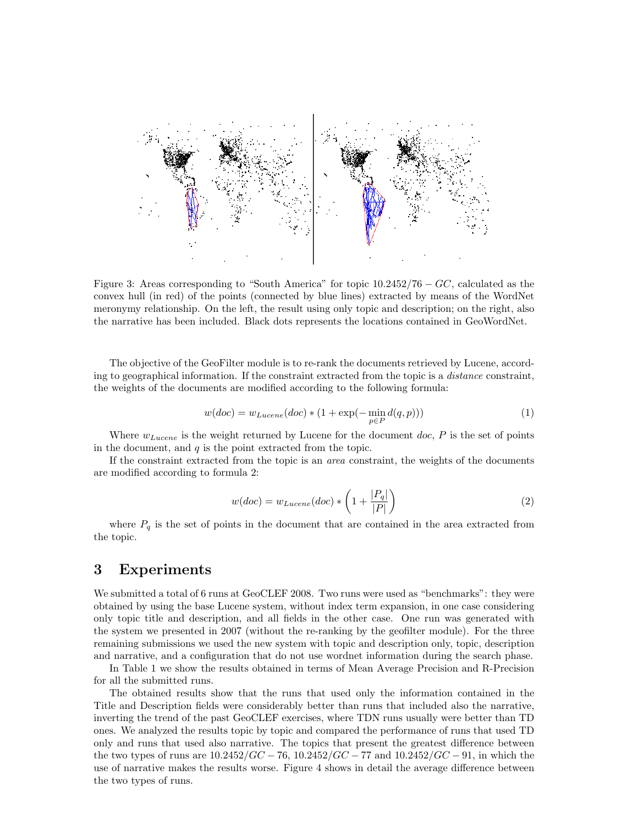

Figure 3: Areas corresponding to "South America" for topic  $10.2452/76 - GC$ , calculated as the convex hull (in red) of the points (connected by blue lines) extracted by means of the WordNet meronymy relationship. On the left, the result using only topic and description; on the right, also the narrative has been included. Black dots represents the locations contained in GeoWordNet.

The objective of the GeoFilter module is to re-rank the documents retrieved by Lucene, according to geographical information. If the constraint extracted from the topic is a *distance* constraint, the weights of the documents are modified according to the following formula:

$$
w(doc) = w_{Lucene}(doc) * (1 + \exp(-\min_{p \in P} d(q, p)))
$$
\n(1)

Where  $w_{Lucene}$  is the weight returned by Lucene for the document doc,  $P$  is the set of points in the document, and  $q$  is the point extracted from the topic.

If the constraint extracted from the topic is an area constraint, the weights of the documents are modified according to formula 2:

$$
w(doc) = w_{Lucene}(doc) * \left(1 + \frac{|P_q|}{|P|}\right)
$$
\n<sup>(2)</sup>

where  $P_q$  is the set of points in the document that are contained in the area extracted from the topic.

## 3 Experiments

We submitted a total of 6 runs at GeoCLEF 2008. Two runs were used as "benchmarks": they were obtained by using the base Lucene system, without index term expansion, in one case considering only topic title and description, and all fields in the other case. One run was generated with the system we presented in 2007 (without the re-ranking by the geofilter module). For the three remaining submissions we used the new system with topic and description only, topic, description and narrative, and a configuration that do not use wordnet information during the search phase.

In Table 1 we show the results obtained in terms of Mean Average Precision and R-Precision for all the submitted runs.

The obtained results show that the runs that used only the information contained in the Title and Description fields were considerably better than runs that included also the narrative, inverting the trend of the past GeoCLEF exercises, where TDN runs usually were better than TD ones. We analyzed the results topic by topic and compared the performance of runs that used TD only and runs that used also narrative. The topics that present the greatest difference between the two types of runs are  $10.2452/GC - 76$ ,  $10.2452/GC - 77$  and  $10.2452/GC - 91$ , in which the use of narrative makes the results worse. Figure 4 shows in detail the average difference between the two types of runs.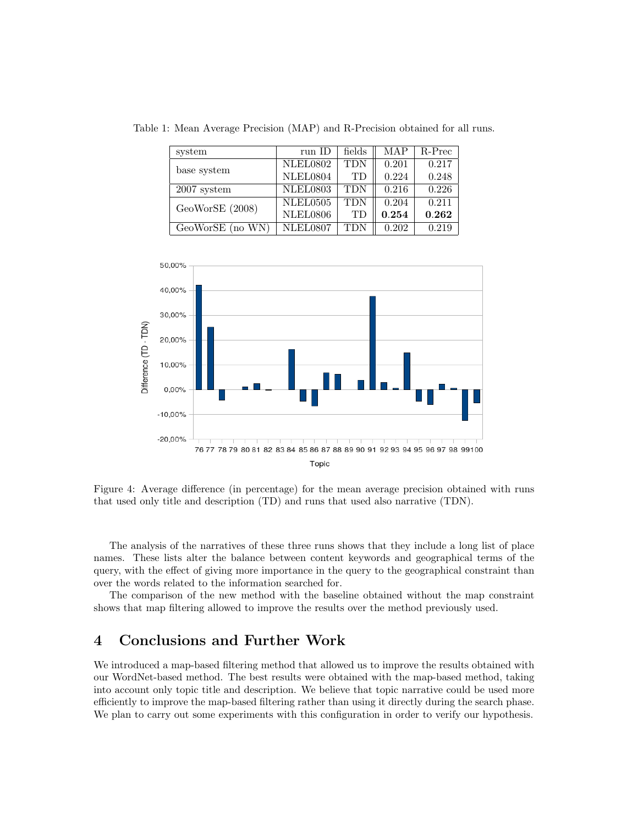Table 1: Mean Average Precision (MAP) and R-Precision obtained for all runs.

| system           | run ID          | fields     | MAP   | R-Prec |
|------------------|-----------------|------------|-------|--------|
| base system      | <b>NLEL0802</b> | <b>TDN</b> | 0.201 | 0.217  |
|                  | NLEL0804        | TD         | 0.224 | 0.248  |
| $2007$ system    | <b>NLEL0803</b> | <b>TDN</b> | 0.216 | 0.226  |
| GeoWorSE (2008)  | NLEL0505        | <b>TDN</b> | 0.204 | 0.211  |
|                  | <b>NLEL0806</b> | TD         | 0.254 | 0.262  |
| GeoWorSE (no WN) | <b>NLEL0807</b> | <b>TDN</b> | 0.202 | 0.219  |



Figure 4: Average difference (in percentage) for the mean average precision obtained with runs that used only title and description (TD) and runs that used also narrative (TDN).

The analysis of the narratives of these three runs shows that they include a long list of place names. These lists alter the balance between content keywords and geographical terms of the query, with the effect of giving more importance in the query to the geographical constraint than over the words related to the information searched for.

The comparison of the new method with the baseline obtained without the map constraint shows that map filtering allowed to improve the results over the method previously used.

## 4 Conclusions and Further Work

We introduced a map-based filtering method that allowed us to improve the results obtained with our WordNet-based method. The best results were obtained with the map-based method, taking into account only topic title and description. We believe that topic narrative could be used more efficiently to improve the map-based filtering rather than using it directly during the search phase. We plan to carry out some experiments with this configuration in order to verify our hypothesis.